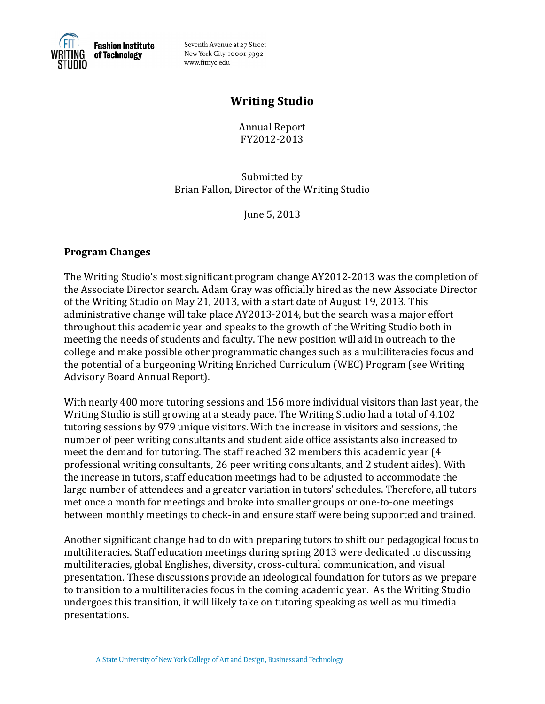

Seventh Avenue at 27 Street New York City 10001-5992 www.fitnyc.edu

# **Writing!Studio**

Annual!Report FY201222013

Submitted by Brian Fallon, Director of the Writing Studio

June 5, 2013

## **Program!Changes**

The Writing Studio's most significant program change  $AY2012-2013$  was the completion of the Associate Director search. Adam Gray was officially hired as the new Associate Director of the Writing Studio on May 21, 2013, with a start date of August 19, 2013. This administrative change will take place AY2013-2014, but the search was a major effort throughout this academic year and speaks to the growth of the Writing Studio both in meeting the needs of students and faculty. The new position will aid in outreach to the college and make possible other programmatic changes such as a multiliteracies focus and the potential of a burgeoning Writing Enriched Curriculum (WEC) Program (see Writing Advisory Board Annual Report).

With nearly 400 more tutoring sessions and 156 more individual visitors than last year, the Writing Studio is still growing at a steady pace. The Writing Studio had a total of 4,102 tutoring sessions by 979 unique visitors. With the increase in visitors and sessions, the number of peer writing consultants and student aide office assistants also increased to meet the demand for tutoring. The staff reached 32 members this academic year (4 professional writing consultants, 26 peer writing consultants, and 2 student aides). With the increase in tutors, staff education meetings had to be adjusted to accommodate the large number of attendees and a greater variation in tutors' schedules. Therefore, all tutors met once a month for meetings and broke into smaller groups or one-to-one meetings between monthly meetings to check-in and ensure staff were being supported and trained.

Another significant change had to do with preparing tutors to shift our pedagogical focus to multiliteracies. Staff education meetings during spring 2013 were dedicated to discussing multiliteracies, global Englishes, diversity, cross-cultural communication, and visual presentation. These discussions provide an ideological foundation for tutors as we prepare to transition to a multiliteracies focus in the coming academic year. As the Writing Studio undergoes this transition, it will likely take on tutoring speaking as well as multimedia presentations.!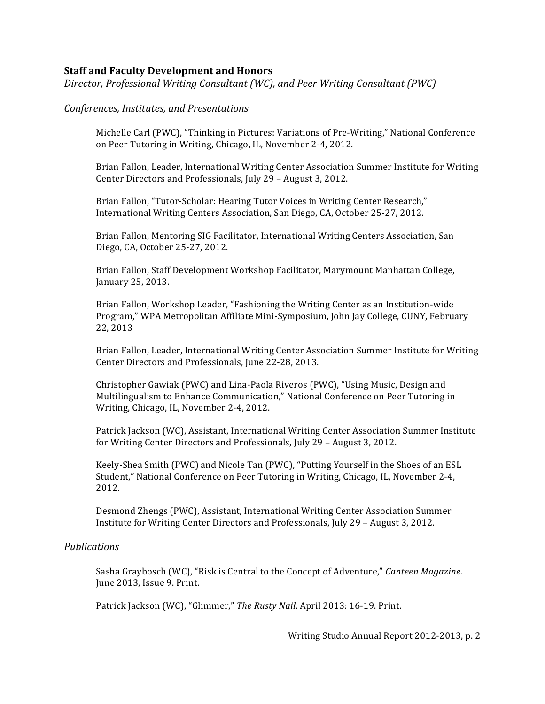#### **Staff and Faculty Development and Honors**

*Director, Professional Writing Consultant (WC), and Peer Writing Consultant (PWC)* 

#### *Conferences,!Institutes, and!Presentations*

Michelle Carl (PWC), "Thinking in Pictures: Variations of Pre-Writing," National Conference on Peer Tutoring in Writing, Chicago, IL, November 2-4, 2012.

Brian Fallon, Leader, International Writing Center Association Summer Institute for Writing Center Directors and Professionals, July 29 - August 3, 2012.

Brian Fallon, "Tutor-Scholar: Hearing Tutor Voices in Writing Center Research," International Writing Centers Association, San Diego, CA, October 25-27, 2012.

Brian Fallon, Mentoring SIG Facilitator, International Writing Centers Association, San Diego, CA, October 25-27, 2012.

Brian Fallon, Staff Development Workshop Facilitator, Marymount Manhattan College, January 25, 2013.

Brian Fallon, Workshop Leader, "Fashioning the Writing Center as an Institution-wide Program," WPA Metropolitan Affiliate Mini-Symposium, John Jay College, CUNY, February 22, 2013

Brian Fallon, Leader, International Writing Center Association Summer Institute for Writing Center Directors and Professionals, June 22-28, 2013.

Christopher Gawiak (PWC) and Lina-Paola Riveros (PWC), "Using Music, Design and Multilingualism to Enhance Communication," National Conference on Peer Tutoring in Writing, Chicago, IL, November 2-4, 2012.

Patrick Jackson (WC), Assistant, International Writing Center Association Summer Institute for Writing Center Directors and Professionals, July 29 - August 3, 2012.

Keely-Shea Smith (PWC) and Nicole Tan (PWC), "Putting Yourself in the Shoes of an ESL Student," National Conference on Peer Tutoring in Writing, Chicago, IL, November 2-4, 2012.

Desmond Zhengs (PWC), Assistant, International Writing Center Association Summer Institute for Writing Center Directors and Professionals, July 29 - August 3, 2012.

#### *Publications*

Sasha Graybosch (WC), "Risk is Central to the Concept of Adventure," Canteen Magazine. June 2013, Issue 9. Print.

Patrick Jackson (WC), "Glimmer," The Rusty Nail. April 2013: 16-19. Print.

Writing Studio Annual Report 2012-2013, p. 2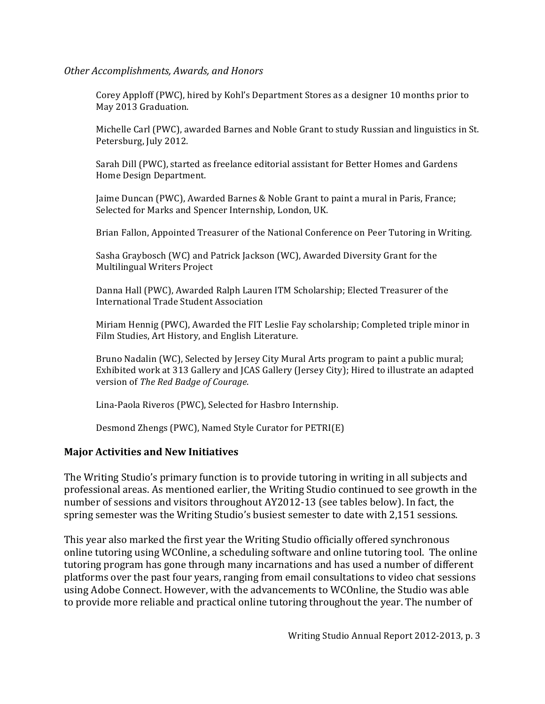#### *Other!Accomplishments,!Awards,!and!Honors*

Corey Apploff (PWC), hired by Kohl's Department Stores as a designer 10 months prior to May 2013 Graduation.

Michelle Carl (PWC), awarded Barnes and Noble Grant to study Russian and linguistics in St. Petersburg, July 2012.

Sarah Dill (PWC), started as freelance editorial assistant for Better Homes and Gardens Home Design Department.

Jaime Duncan (PWC), Awarded Barnes & Noble Grant to paint a mural in Paris, France; Selected for Marks and Spencer Internship, London, UK.

Brian Fallon, Appointed Treasurer of the National Conference on Peer Tutoring in Writing.

Sasha Graybosch (WC) and Patrick Jackson (WC), Awarded Diversity Grant for the Multilingual Writers Project

Danna Hall (PWC), Awarded Ralph Lauren ITM Scholarship; Elected Treasurer of the International Trade Student Association

Miriam Hennig (PWC), Awarded the FIT Leslie Fay scholarship; Completed triple minor in Film Studies, Art History, and English Literature.

Bruno Nadalin (WC), Selected by Jersey City Mural Arts program to paint a public mural; Exhibited work at 313 Gallery and JCAS Gallery (Jersey City); Hired to illustrate an adapted version of *The Red Badge of Courage*.

Lina-Paola Riveros (PWC), Selected for Hasbro Internship.

Desmond Zhengs (PWC), Named Style Curator for PETRI(E)

### **Major Activities and New Initiatives**

The Writing Studio's primary function is to provide tutoring in writing in all subjects and professional areas. As mentioned earlier, the Writing Studio continued to see growth in the number of sessions and visitors throughout AY2012-13 (see tables below). In fact, the spring semester was the Writing Studio's busiest semester to date with 2,151 sessions.

This year also marked the first year the Writing Studio officially offered synchronous online tutoring using WCOnline, a scheduling software and online tutoring tool. The online tutoring program has gone through many incarnations and has used a number of different platforms over the past four years, ranging from email consultations to video chat sessions using Adobe Connect. However, with the advancements to WCOnline, the Studio was able to provide more reliable and practical online tutoring throughout the year. The number of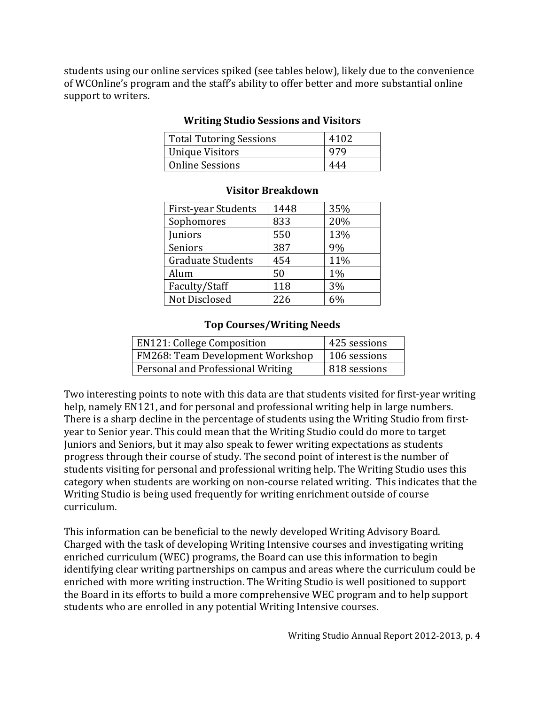students using our online services spiked (see tables below), likely due to the convenience of WCOnline's program and the staff's ability to offer better and more substantial online support to writers.

| Total Tutoring Sessions | 4102 |
|-------------------------|------|
| Unique Visitors         | 979  |
| <b>Online Sessions</b>  | 444  |

### **Writing Studio Sessions and Visitors**

| First-year Students      | 1448 | 35% |
|--------------------------|------|-----|
| Sophomores               | 833  | 20% |
| Juniors                  | 550  | 13% |
| Seniors                  | 387  | 9%  |
| <b>Graduate Students</b> | 454  | 11% |
| Alum                     | 50   | 1%  |
| Faculty/Staff            | 118  | 3%  |
| Not Disclosed            | 226  |     |

### **Visitor Breakdown!**

### **Top!Courses/Writing!Needs**

| <b>EN121: College Composition</b> | 425 sessions |
|-----------------------------------|--------------|
| FM268: Team Development Workshop  | 106 sessions |
| Personal and Professional Writing | 818 sessions |

Two interesting points to note with this data are that students visited for first-year writing help, namely EN121, and for personal and professional writing help in large numbers. There is a sharp decline in the percentage of students using the Writing Studio from firstyear to Senior year. This could mean that the Writing Studio could do more to target Juniors and Seniors, but it may also speak to fewer writing expectations as students progress through their course of study. The second point of interest is the number of students visiting for personal and professional writing help. The Writing Studio uses this category when students are working on non-course related writing. This indicates that the Writing Studio is being used frequently for writing enrichment outside of course curriculum.

This information can be beneficial to the newly developed Writing Advisory Board. Charged with the task of developing Writing Intensive courses and investigating writing enriched curriculum (WEC) programs, the Board can use this information to begin identifying clear writing partnerships on campus and areas where the curriculum could be enriched with more writing instruction. The Writing Studio is well positioned to support the Board in its efforts to build a more comprehensive WEC program and to help support students who are enrolled in any potential Writing Intensive courses.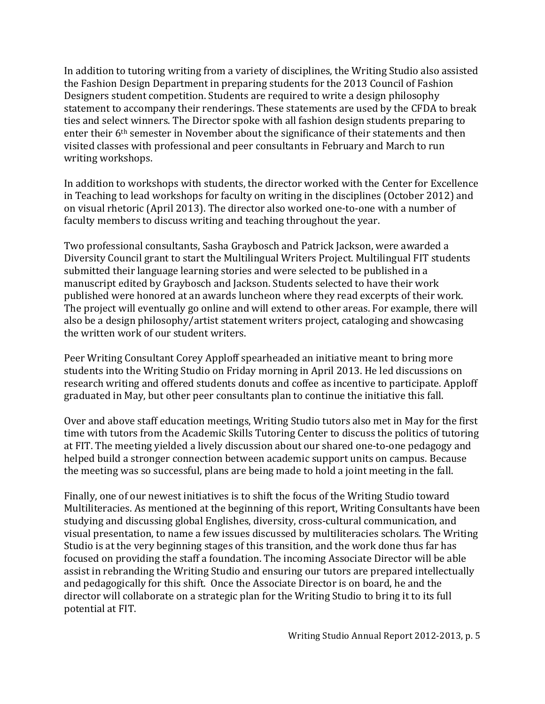In addition to tutoring writing from a variety of disciplines, the Writing Studio also assisted the Fashion Design Department in preparing students for the 2013 Council of Fashion Designers student competition. Students are required to write a design philosophy statement to accompany their renderings. These statements are used by the CFDA to break ties and select winners. The Director spoke with all fashion design students preparing to enter their 6<sup>th</sup> semester in November about the significance of their statements and then visited classes with professional and peer consultants in February and March to run writing workshops.

In addition to workshops with students, the director worked with the Center for Excellence in Teaching to lead workshops for faculty on writing in the disciplines (October 2012) and on visual rhetoric (April 2013). The director also worked one-to-one with a number of faculty members to discuss writing and teaching throughout the year.

Two professional consultants, Sasha Graybosch and Patrick Jackson, were awarded a Diversity Council grant to start the Multilingual Writers Project. Multilingual FIT students submitted their language learning stories and were selected to be published in a manuscript edited by Graybosch and Jackson. Students selected to have their work published were honored at an awards luncheon where they read excerpts of their work. The project will eventually go online and will extend to other areas. For example, there will also be a design philosophy/artist statement writers project, cataloging and showcasing the written work of our student writers.

Peer Writing Consultant Corey Apploff spearheaded an initiative meant to bring more students into the Writing Studio on Friday morning in April 2013. He led discussions on research writing and offered students donuts and coffee as incentive to participate. Apploff graduated in May, but other peer consultants plan to continue the initiative this fall.

Over and above staff education meetings, Writing Studio tutors also met in May for the first time with tutors from the Academic Skills Tutoring Center to discuss the politics of tutoring at FIT. The meeting yielded a lively discussion about our shared one-to-one pedagogy and helped build a stronger connection between academic support units on campus. Because the meeting was so successful, plans are being made to hold a joint meeting in the fall.

Finally, one of our newest initiatives is to shift the focus of the Writing Studio toward Multiliteracies. As mentioned at the beginning of this report, Writing Consultants have been studying and discussing global Englishes, diversity, cross-cultural communication, and visual presentation, to name a few issues discussed by multiliteracies scholars. The Writing Studio is at the very beginning stages of this transition, and the work done thus far has focused on providing the staff a foundation. The incoming Associate Director will be able assist in rebranding the Writing Studio and ensuring our tutors are prepared intellectually and pedagogically for this shift. Once the Associate Director is on board, he and the director will collaborate on a strategic plan for the Writing Studio to bring it to its full potential at FIT.